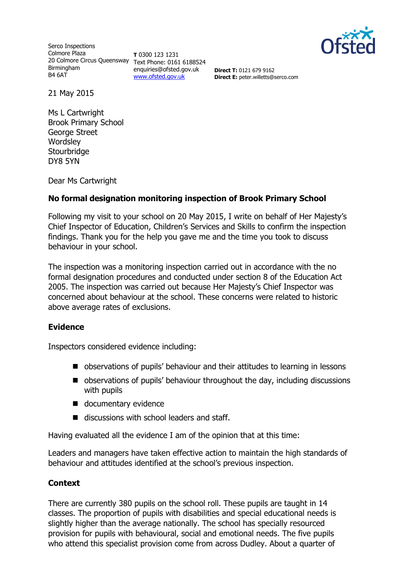

Serco Inspections Colmore Plaza 20 Colmore Circus Queensway Text Phone: 0161 6188524 Birmingham B4 6AT

**T** 0300 123 1231 enquiries@ofsted.gov.uk [www.ofsted.gov.uk](http://www.ofsted.gov.uk/)

**Direct T:** 0121 679 9162 **Direct E:** peter.willetts@serco.com

21 May 2015

Ms L Cartwright Brook Primary School George Street **Wordsley Stourbridge** DY8 5YN

Dear Ms Cartwright

## **No formal designation monitoring inspection of Brook Primary School**

Following my visit to your school on 20 May 2015, I write on behalf of Her Majesty's Chief Inspector of Education, Children's Services and Skills to confirm the inspection findings. Thank you for the help you gave me and the time you took to discuss behaviour in your school.

The inspection was a monitoring inspection carried out in accordance with the no formal designation procedures and conducted under section 8 of the Education Act 2005. The inspection was carried out because Her Majesty's Chief Inspector was concerned about behaviour at the school. These concerns were related to historic above average rates of exclusions.

#### **Evidence**

Inspectors considered evidence including:

- observations of pupils' behaviour and their attitudes to learning in lessons
- observations of pupils' behaviour throughout the day, including discussions with pupils
- documentary evidence
- $\blacksquare$  discussions with school leaders and staff.

Having evaluated all the evidence I am of the opinion that at this time:

Leaders and managers have taken effective action to maintain the high standards of behaviour and attitudes identified at the school's previous inspection.

#### **Context**

There are currently 380 pupils on the school roll. These pupils are taught in 14 classes. The proportion of pupils with disabilities and special educational needs is slightly higher than the average nationally. The school has specially resourced provision for pupils with behavioural, social and emotional needs. The five pupils who attend this specialist provision come from across Dudley. About a quarter of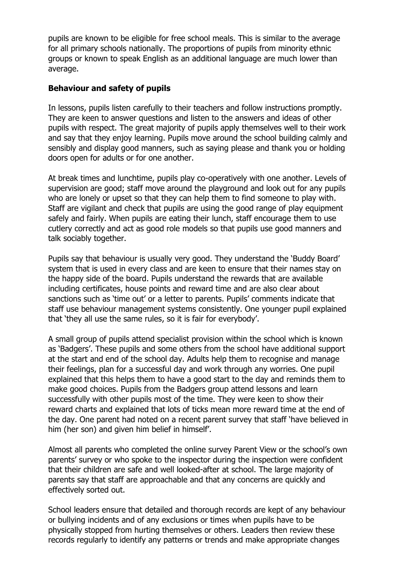pupils are known to be eligible for free school meals. This is similar to the average for all primary schools nationally. The proportions of pupils from minority ethnic groups or known to speak English as an additional language are much lower than average.

### **Behaviour and safety of pupils**

In lessons, pupils listen carefully to their teachers and follow instructions promptly. They are keen to answer questions and listen to the answers and ideas of other pupils with respect. The great majority of pupils apply themselves well to their work and say that they enjoy learning. Pupils move around the school building calmly and sensibly and display good manners, such as saying please and thank you or holding doors open for adults or for one another.

At break times and lunchtime, pupils play co-operatively with one another. Levels of supervision are good; staff move around the playground and look out for any pupils who are lonely or upset so that they can help them to find someone to play with. Staff are vigilant and check that pupils are using the good range of play equipment safely and fairly. When pupils are eating their lunch, staff encourage them to use cutlery correctly and act as good role models so that pupils use good manners and talk sociably together.

Pupils say that behaviour is usually very good. They understand the 'Buddy Board' system that is used in every class and are keen to ensure that their names stay on the happy side of the board. Pupils understand the rewards that are available including certificates, house points and reward time and are also clear about sanctions such as 'time out' or a letter to parents. Pupils' comments indicate that staff use behaviour management systems consistently. One younger pupil explained that 'they all use the same rules, so it is fair for everybody'.

A small group of pupils attend specialist provision within the school which is known as 'Badgers'. These pupils and some others from the school have additional support at the start and end of the school day. Adults help them to recognise and manage their feelings, plan for a successful day and work through any worries. One pupil explained that this helps them to have a good start to the day and reminds them to make good choices. Pupils from the Badgers group attend lessons and learn successfully with other pupils most of the time. They were keen to show their reward charts and explained that lots of ticks mean more reward time at the end of the day. One parent had noted on a recent parent survey that staff 'have believed in him (her son) and given him belief in himself'.

Almost all parents who completed the online survey Parent View or the school's own parents' survey or who spoke to the inspector during the inspection were confident that their children are safe and well looked-after at school. The large majority of parents say that staff are approachable and that any concerns are quickly and effectively sorted out.

School leaders ensure that detailed and thorough records are kept of any behaviour or bullying incidents and of any exclusions or times when pupils have to be physically stopped from hurting themselves or others. Leaders then review these records regularly to identify any patterns or trends and make appropriate changes